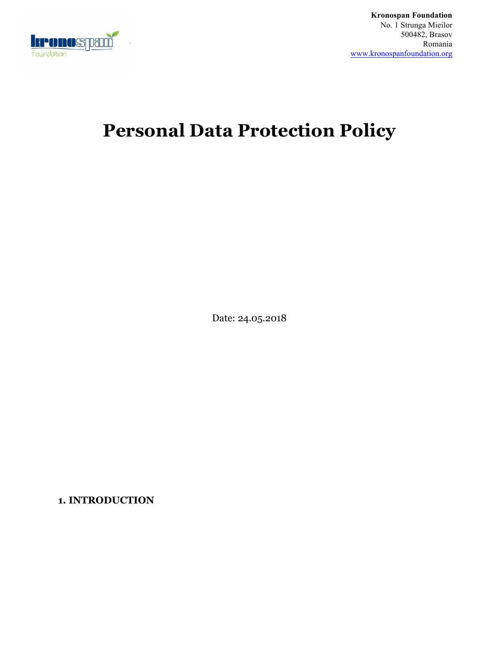

**Kronospan Foundation** No. 1 Strunga Mieilor 500482, Brasov Romania www.kronospanfoundation.org

# **Personal Data Protection Policy**

Date: 24.05.2018

**1. INTRODUCTION**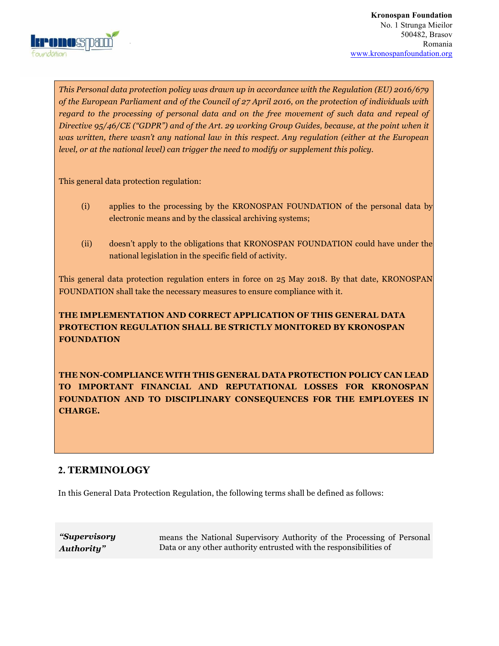

*This Personal data protection policy was drawn up in accordance with the Regulation (EU) 2016/679 of the European Parliament and of the Council of 27 April 2016, on the protection of individuals with regard to the processing of personal data and on the free movement of such data and repeal of Directive 95/46/CE ("GDPR") and of the Art. 29 working Group Guides, because, at the point when it was written, there wasn't any national law in this respect. Any regulation (either at the European level, or at the national level) can trigger the need to modify or supplement this policy.* 

This general data protection regulation:

- (i) applies to the processing by the KRONOSPAN FOUNDATION of the personal data by electronic means and by the classical archiving systems;
- (ii) doesn't apply to the obligations that KRONOSPAN FOUNDATION could have under the national legislation in the specific field of activity.

This general data protection regulation enters in force on 25 May 2018. By that date, KRONOSPAN FOUNDATION shall take the necessary measures to ensure compliance with it.

# **THE IMPLEMENTATION AND CORRECT APPLICATION OF THIS GENERAL DATA PROTECTION REGULATION SHALL BE STRICTLY MONITORED BY KRONOSPAN FOUNDATION**

**THE NON-COMPLIANCE WITH THIS GENERAL DATA PROTECTION POLICY CAN LEAD TO IMPORTANT FINANCIAL AND REPUTATIONAL LOSSES FOR KRONOSPAN FOUNDATION AND TO DISCIPLINARY CONSEQUENCES FOR THE EMPLOYEES IN CHARGE.** 

# **2. TERMINOLOGY**

In this General Data Protection Regulation, the following terms shall be defined as follows:

*"Supervisory Authority"* 

means the National Supervisory Authority of the Processing of Personal Data or any other authority entrusted with the responsibilities of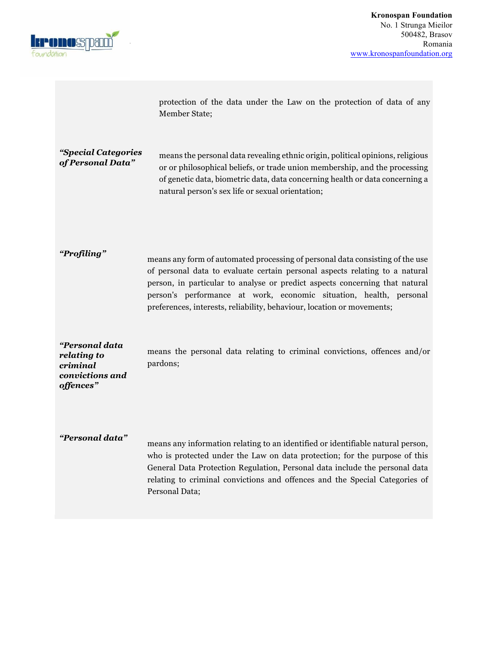

protection of the data under the Law on the protection of data of any Member State;

*"Special Categories of Personal Data" means the personal data revealing ethnic origin, political opinions, religious of Personal Data" meanwhich contributions meanwhich contributions meanwhich* or or philosophical beliefs, or trade union membership, and the processing of genetic data, biometric data, data concerning health or data concerning a natural person's sex life or sexual orientation;

*"Profiling"* means any form of automated processing of personal data consisting of the use of personal data to evaluate certain personal aspects relating to a natural person, in particular to analyse or predict aspects concerning that natural person's performance at work, economic situation, health, personal preferences, interests, reliability, behaviour, location or movements;

*"Personal data relating to criminal convictions and offences"*  means the personal data relating to criminal convictions, offences and/or pardons;

*"Personal data"* means any information relating to an identified or identifiable natural person, who is protected under the Law on data protection; for the purpose of this General Data Protection Regulation, Personal data include the personal data relating to criminal convictions and offences and the Special Categories of Personal Data;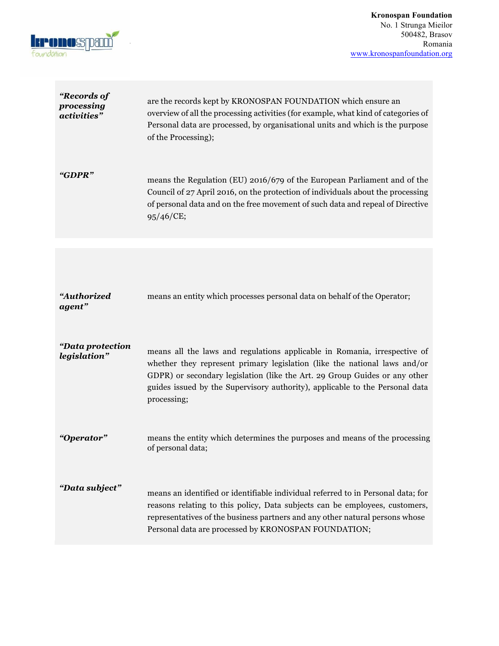

| "Records of<br>processing<br>activities" | are the records kept by KRONOSPAN FOUNDATION which ensure an<br>overview of all the processing activities (for example, what kind of categories of<br>Personal data are processed, by organisational units and which is the purpose<br>of the Processing);                                                                          |
|------------------------------------------|-------------------------------------------------------------------------------------------------------------------------------------------------------------------------------------------------------------------------------------------------------------------------------------------------------------------------------------|
| "GDPR"                                   | means the Regulation (EU) 2016/679 of the European Parliament and of the<br>Council of 27 April 2016, on the protection of individuals about the processing<br>of personal data and on the free movement of such data and repeal of Directive<br>95/46/CE;                                                                          |
|                                          |                                                                                                                                                                                                                                                                                                                                     |
| "Authorized<br>agent"                    | means an entity which processes personal data on behalf of the Operator;                                                                                                                                                                                                                                                            |
| "Data protection<br>legislation"         | means all the laws and regulations applicable in Romania, irrespective of<br>whether they represent primary legislation (like the national laws and/or<br>GDPR) or secondary legislation (like the Art. 29 Group Guides or any other<br>guides issued by the Supervisory authority), applicable to the Personal data<br>processing; |
| "Operator"                               | means the entity which determines the purposes and means of the processing<br>of personal data;                                                                                                                                                                                                                                     |
| "Data subject"                           | means an identified or identifiable individual referred to in Personal data; for<br>reasons relating to this policy, Data subjects can be employees, customers,<br>representatives of the business partners and any other natural persons whose<br>Personal data are processed by KRONOSPAN FOUNDATION;                             |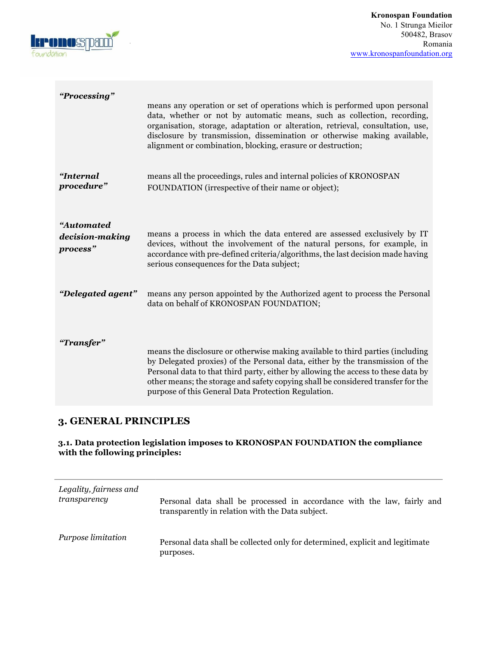

| "Processing"                              | means any operation or set of operations which is performed upon personal<br>data, whether or not by automatic means, such as collection, recording,<br>organisation, storage, adaptation or alteration, retrieval, consultation, use,<br>disclosure by transmission, dissemination or otherwise making available,<br>alignment or combination, blocking, erasure or destruction;               |
|-------------------------------------------|-------------------------------------------------------------------------------------------------------------------------------------------------------------------------------------------------------------------------------------------------------------------------------------------------------------------------------------------------------------------------------------------------|
| "Internal<br>procedure"                   | means all the proceedings, rules and internal policies of KRONOSPAN<br>FOUNDATION (irrespective of their name or object);                                                                                                                                                                                                                                                                       |
| "Automated<br>decision-making<br>process" | means a process in which the data entered are assessed exclusively by IT<br>devices, without the involvement of the natural persons, for example, in<br>accordance with pre-defined criteria/algorithms, the last decision made having<br>serious consequences for the Data subject;                                                                                                            |
| "Delegated agent"                         | means any person appointed by the Authorized agent to process the Personal<br>data on behalf of KRONOSPAN FOUNDATION;                                                                                                                                                                                                                                                                           |
| "Transfer"                                | means the disclosure or otherwise making available to third parties (including<br>by Delegated proxies) of the Personal data, either by the transmission of the<br>Personal data to that third party, either by allowing the access to these data by<br>other means; the storage and safety copying shall be considered transfer for the<br>purpose of this General Data Protection Regulation. |

# **3. GENERAL PRINCIPLES**

## **3.1. Data protection legislation imposes to KRONOSPAN FOUNDATION the compliance with the following principles:**

| Legality, fairness and | Personal data shall be processed in accordance with the law, fairly and                    |
|------------------------|--------------------------------------------------------------------------------------------|
| transparency           | transparently in relation with the Data subject.                                           |
| Purpose limitation     | Personal data shall be collected only for determined, explicit and legitimate<br>purposes. |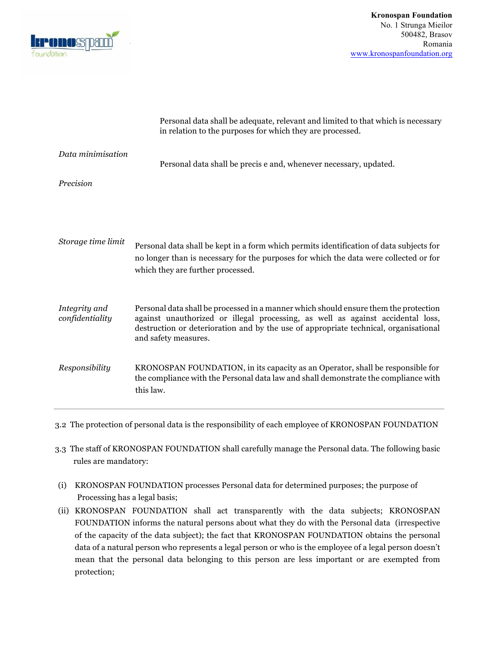

|                                  | Personal data shall be adequate, relevant and limited to that which is necessary<br>in relation to the purposes for which they are processed.                                                                                                                                           |
|----------------------------------|-----------------------------------------------------------------------------------------------------------------------------------------------------------------------------------------------------------------------------------------------------------------------------------------|
| Data minimisation                | Personal data shall be precis e and, whenever necessary, updated.                                                                                                                                                                                                                       |
| Precision                        |                                                                                                                                                                                                                                                                                         |
|                                  |                                                                                                                                                                                                                                                                                         |
| Storage time limit               | Personal data shall be kept in a form which permits identification of data subjects for<br>no longer than is necessary for the purposes for which the data were collected or for<br>which they are further processed.                                                                   |
| Integrity and<br>confidentiality | Personal data shall be processed in a manner which should ensure them the protection<br>against unauthorized or illegal processing, as well as against accidental loss,<br>destruction or deterioration and by the use of appropriate technical, organisational<br>and safety measures. |
| Responsibility                   | KRONOSPAN FOUNDATION, in its capacity as an Operator, shall be responsible for<br>the compliance with the Personal data law and shall demonstrate the compliance with<br>this law.                                                                                                      |

3.2 The protection of personal data is the responsibility of each employee of KRONOSPAN FOUNDATION

- 3.3 The staff of KRONOSPAN FOUNDATION shall carefully manage the Personal data. The following basic rules are mandatory:
- (i) KRONOSPAN FOUNDATION processes Personal data for determined purposes; the purpose of Processing has a legal basis;
- (ii) KRONOSPAN FOUNDATION shall act transparently with the data subjects; KRONOSPAN FOUNDATION informs the natural persons about what they do with the Personal data (irrespective of the capacity of the data subject); the fact that KRONOSPAN FOUNDATION obtains the personal data of a natural person who represents a legal person or who is the employee of a legal person doesn't mean that the personal data belonging to this person are less important or are exempted from protection;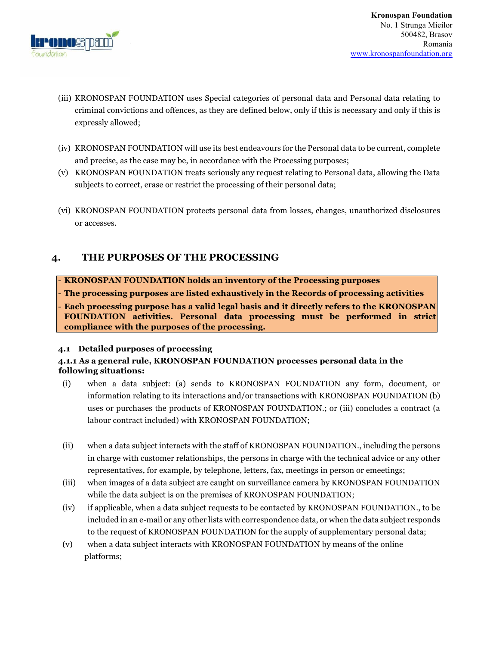

- (iii) KRONOSPAN FOUNDATION uses Special categories of personal data and Personal data relating to criminal convictions and offences, as they are defined below, only if this is necessary and only if this is expressly allowed;
- (iv) KRONOSPAN FOUNDATION will use its best endeavours for the Personal data to be current, complete and precise, as the case may be, in accordance with the Processing purposes;
- (v) KRONOSPAN FOUNDATION treats seriously any request relating to Personal data, allowing the Data subjects to correct, erase or restrict the processing of their personal data;
- (vi) KRONOSPAN FOUNDATION protects personal data from losses, changes, unauthorized disclosures or accesses.

# **4. THE PURPOSES OF THE PROCESSING**

- **KRONOSPAN FOUNDATION holds an inventory of the Processing purposes** 

- **The processing purposes are listed exhaustively in the Records of processing activities** 

- **Each processing purpose has a valid legal basis and it directly refers to the KRONOSPAN FOUNDATION activities. Personal data processing must be performed in strict compliance with the purposes of the processing.**

#### **4.1 Detailed purposes of processing**

#### **4.1.1 As a general rule, KRONOSPAN FOUNDATION processes personal data in the following situations:**

- (i) when a data subject: (a) sends to KRONOSPAN FOUNDATION any form, document, or information relating to its interactions and/or transactions with KRONOSPAN FOUNDATION (b) uses or purchases the products of KRONOSPAN FOUNDATION.; or (iii) concludes a contract (a labour contract included) with KRONOSPAN FOUNDATION;
- (ii) when a data subject interacts with the staff of KRONOSPAN FOUNDATION., including the persons in charge with customer relationships, the persons in charge with the technical advice or any other representatives, for example, by telephone, letters, fax, meetings in person or emeetings;
- (iii) when images of a data subject are caught on surveillance camera by KRONOSPAN FOUNDATION while the data subject is on the premises of KRONOSPAN FOUNDATION;
- (iv) if applicable, when a data subject requests to be contacted by KRONOSPAN FOUNDATION., to be included in an e-mail or any other lists with correspondence data, or when the data subject responds to the request of KRONOSPAN FOUNDATION for the supply of supplementary personal data;
- (v) when a data subject interacts with KRONOSPAN FOUNDATION by means of the online platforms;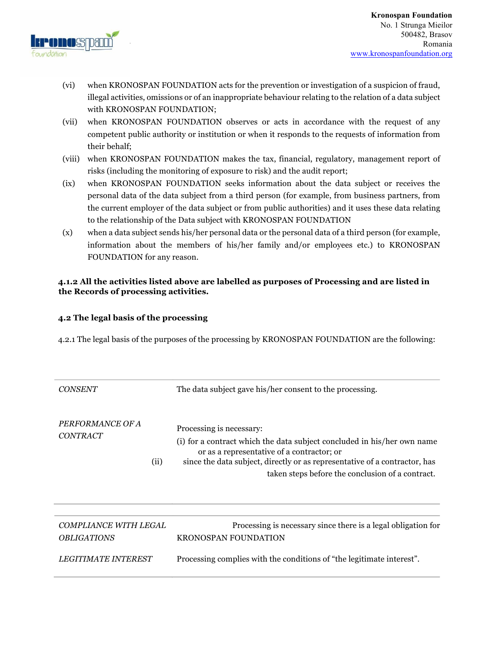

- (vi) when KRONOSPAN FOUNDATION acts for the prevention or investigation of a suspicion of fraud, illegal activities, omissions or of an inappropriate behaviour relating to the relation of a data subject with KRONOSPAN FOUNDATION;
- (vii) when KRONOSPAN FOUNDATION observes or acts in accordance with the request of any competent public authority or institution or when it responds to the requests of information from their behalf;
- (viii) when KRONOSPAN FOUNDATION makes the tax, financial, regulatory, management report of risks (including the monitoring of exposure to risk) and the audit report;
- (ix) when KRONOSPAN FOUNDATION seeks information about the data subject or receives the personal data of the data subject from a third person (for example, from business partners, from the current employer of the data subject or from public authorities) and it uses these data relating to the relationship of the Data subject with KRONOSPAN FOUNDATION
- (x) when a data subject sends his/her personal data or the personal data of a third person (for example, information about the members of his/her family and/or employees etc.) to KRONOSPAN FOUNDATION for any reason.

#### **4.1.2 All the activities listed above are labelled as purposes of Processing and are listed in the Records of processing activities.**

#### **4.2 The legal basis of the processing**

4.2.1 The legal basis of the purposes of the processing by KRONOSPAN FOUNDATION are the following:

| <b>CONSENT</b>                      |      | The data subject gave his/her consent to the processing.                                                                                                                                                                                                                            |
|-------------------------------------|------|-------------------------------------------------------------------------------------------------------------------------------------------------------------------------------------------------------------------------------------------------------------------------------------|
| PERFORMANCE OF A<br><b>CONTRACT</b> | (ii) | Processing is necessary:<br>(i) for a contract which the data subject concluded in his/her own name<br>or as a representative of a contractor; or<br>since the data subject, directly or as representative of a contractor, has<br>taken steps before the conclusion of a contract. |
|                                     |      |                                                                                                                                                                                                                                                                                     |
| COMPLIANCE WITH LEGAL               |      | Processing is necessary since there is a legal obligation for                                                                                                                                                                                                                       |

*OBLIGATIONS* KRONOSPAN FOUNDATION *LEGITIMATE INTEREST* Processing complies with the conditions of "the legitimate interest".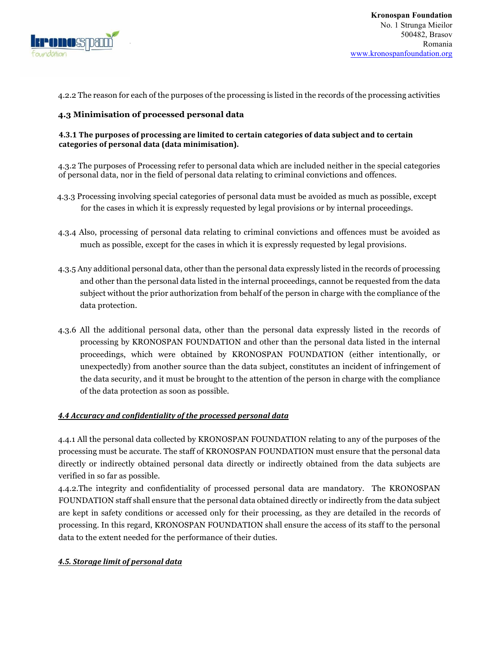

4.2.2 The reason for each of the purposes of the processing is listed in the records of the processing activities

### **4.3 Minimisation of processed personal data**

#### **4.3.1** The purposes of processing are limited to certain categories of data subject and to certain categories of personal data (data minimisation).

4.3.2 The purposes of Processing refer to personal data which are included neither in the special categories of personal data, nor in the field of personal data relating to criminal convictions and offences.

- 4.3.3 Processing involving special categories of personal data must be avoided as much as possible, except for the cases in which it is expressly requested by legal provisions or by internal proceedings.
- 4.3.4 Also, processing of personal data relating to criminal convictions and offences must be avoided as much as possible, except for the cases in which it is expressly requested by legal provisions.
- 4.3.5 Any additional personal data, other than the personal data expressly listed in the records of processing and other than the personal data listed in the internal proceedings, cannot be requested from the data subject without the prior authorization from behalf of the person in charge with the compliance of the data protection.
- 4.3.6 All the additional personal data, other than the personal data expressly listed in the records of processing by KRONOSPAN FOUNDATION and other than the personal data listed in the internal proceedings, which were obtained by KRONOSPAN FOUNDATION (either intentionally, or unexpectedly) from another source than the data subject, constitutes an incident of infringement of the data security, and it must be brought to the attention of the person in charge with the compliance of the data protection as soon as possible.

#### **4.4 Accuracy and confidentiality of the processed personal data**

4.4.1 All the personal data collected by KRONOSPAN FOUNDATION relating to any of the purposes of the processing must be accurate. The staff of KRONOSPAN FOUNDATION must ensure that the personal data directly or indirectly obtained personal data directly or indirectly obtained from the data subjects are verified in so far as possible.

4.4.2.The integrity and confidentiality of processed personal data are mandatory. The KRONOSPAN FOUNDATION staff shall ensure that the personal data obtained directly or indirectly from the data subject are kept in safety conditions or accessed only for their processing, as they are detailed in the records of processing. In this regard, KRONOSPAN FOUNDATION shall ensure the access of its staff to the personal data to the extent needed for the performance of their duties.

#### **4.5. Storage limit of personal data**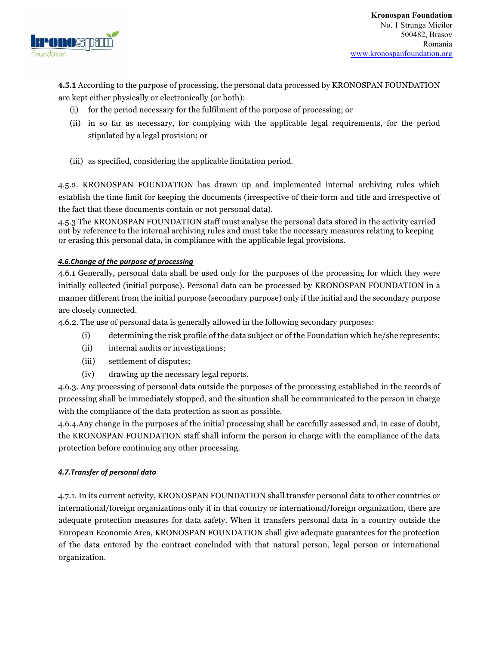

**4.5.1** According to the purpose of processing, the personal data processed by KRONOSPAN FOUNDATION are kept either physically or electronically (or both):

- (i) for the period necessary for the fulfilment of the purpose of processing; or
- (ii) in so far as necessary, for complying with the applicable legal requirements, for the period stipulated by a legal provision; or
- (iii) as specified, considering the applicable limitation period.

4.5.2. KRONOSPAN FOUNDATION has drawn up and implemented internal archiving rules which establish the time limit for keeping the documents (irrespective of their form and title and irrespective of the fact that these documents contain or not personal data).

4.5.3 The KRONOSPAN FOUNDATION staff must analyse the personal data stored in the activity carried out by reference to the internal archiving rules and must take the necessary measures relating to keeping or erasing this personal data, in compliance with the applicable legal provisions.

#### **4.6.Change of the purpose of processing**

4.6.1 Generally, personal data shall be used only for the purposes of the processing for which they were initially collected (initial purpose). Personal data can be processed by KRONOSPAN FOUNDATION in a manner different from the initial purpose (secondary purpose) only if the initial and the secondary purpose are closely connected.

4.6.2. The use of personal data is generally allowed in the following secondary purposes:

- (i) determining the risk profile of the data subject or of the Foundation which he/she represents;
- (ii) internal audits or investigations;
- (iii) settlement of disputes;
- (iv) drawing up the necessary legal reports.

4.6.3. Any processing of personal data outside the purposes of the processing established in the records of processing shall be immediately stopped, and the situation shall be communicated to the person in charge with the compliance of the data protection as soon as possible.

4.6.4.Any change in the purposes of the initial processing shall be carefully assessed and, in case of doubt, the KRONOSPAN FOUNDATION staff shall inform the person in charge with the compliance of the data protection before continuing any other processing.

#### *4.7.Transfer of personal data*

4.7.1. In its current activity, KRONOSPAN FOUNDATION shall transfer personal data to other countries or international/foreign organizations only if in that country or international/foreign organization, there are adequate protection measures for data safety. When it transfers personal data in a country outside the European Economic Area, KRONOSPAN FOUNDATION shall give adequate guarantees for the protection of the data entered by the contract concluded with that natural person, legal person or international organization.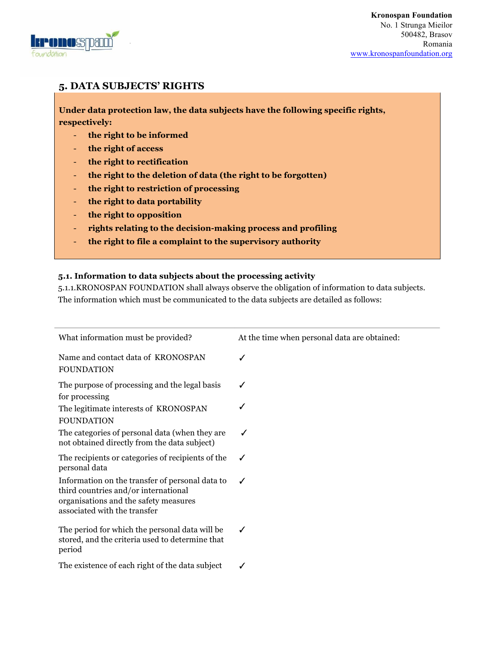

# **5. DATA SUBJECTS' RIGHTS**

**Under data protection law, the data subjects have the following specific rights, respectively:** 

- **the right to be informed**
- **the right of access**
- **the right to rectification**
- **the right to the deletion of data (the right to be forgotten)**
- **the right to restriction of processing**
- **the right to data portability**
- **the right to opposition**
- **rights relating to the decision-making process and profiling**
- **the right to file a complaint to the supervisory authority**

#### **5.1. Information to data subjects about the processing activity**

5.1.1.KRONOSPAN FOUNDATION shall always observe the obligation of information to data subjects. The information which must be communicated to the data subjects are detailed as follows:

| What information must be provided?                                                                                                                               | At the time when personal data are obtained: |
|------------------------------------------------------------------------------------------------------------------------------------------------------------------|----------------------------------------------|
| Name and contact data of KRONOSPAN<br><b>FOUNDATION</b>                                                                                                          | ✓                                            |
| The purpose of processing and the legal basis<br>for processing                                                                                                  |                                              |
| The legitimate interests of KRONOSPAN<br><b>FOUNDATION</b>                                                                                                       |                                              |
| The categories of personal data (when they are<br>not obtained directly from the data subject)                                                                   | ✓                                            |
| The recipients or categories of recipients of the<br>personal data                                                                                               |                                              |
| Information on the transfer of personal data to<br>third countries and/or international<br>organisations and the safety measures<br>associated with the transfer | ✓                                            |
| The period for which the personal data will be<br>stored, and the criteria used to determine that<br>period                                                      | ✔                                            |
| The existence of each right of the data subject                                                                                                                  | ✓                                            |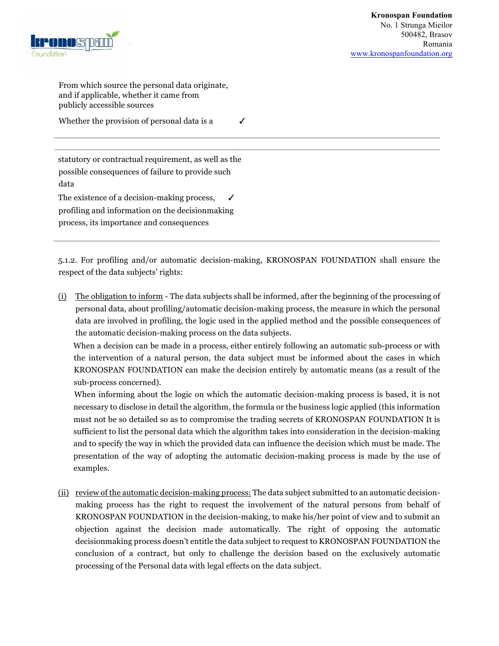

From which source the personal data originate, and if applicable, whether it came from publicly accessible sources

Whether the provision of personal data is a  $\checkmark$ 

statutory or contractual requirement, as well as the possible consequences of failure to provide such data

The existence of a decision-making process,  $\checkmark$ profiling and information on the decisionmaking process, its importance and consequences

5.1.2. For profiling and/or automatic decision-making, KRONOSPAN FOUNDATION shall ensure the respect of the data subjects' rights:

(i) The obligation to inform - The data subjects shall be informed, after the beginning of the processing of personal data, about profiling/automatic decision-making process, the measure in which the personal data are involved in profiling, the logic used in the applied method and the possible consequences of the automatic decision-making process on the data subjects.

When a decision can be made in a process, either entirely following an automatic sub-process or with the intervention of a natural person, the data subject must be informed about the cases in which KRONOSPAN FOUNDATION can make the decision entirely by automatic means (as a result of the sub-process concerned).

 When informing about the logic on which the automatic decision-making process is based, it is not necessary to disclose in detail the algorithm, the formula or the business logic applied (this information must not be so detailed so as to compromise the trading secrets of KRONOSPAN FOUNDATION It is sufficient to list the personal data which the algorithm takes into consideration in the decision-making and to specify the way in which the provided data can influence the decision which must be made. The presentation of the way of adopting the automatic decision-making process is made by the use of examples.

(ii) review of the automatic decision-making process: The data subject submitted to an automatic decisionmaking process has the right to request the involvement of the natural persons from behalf of KRONOSPAN FOUNDATION in the decision-making, to make his/her point of view and to submit an objection against the decision made automatically. The right of opposing the automatic decisionmaking process doesn't entitle the data subject to request to KRONOSPAN FOUNDATION the conclusion of a contract, but only to challenge the decision based on the exclusively automatic processing of the Personal data with legal effects on the data subject.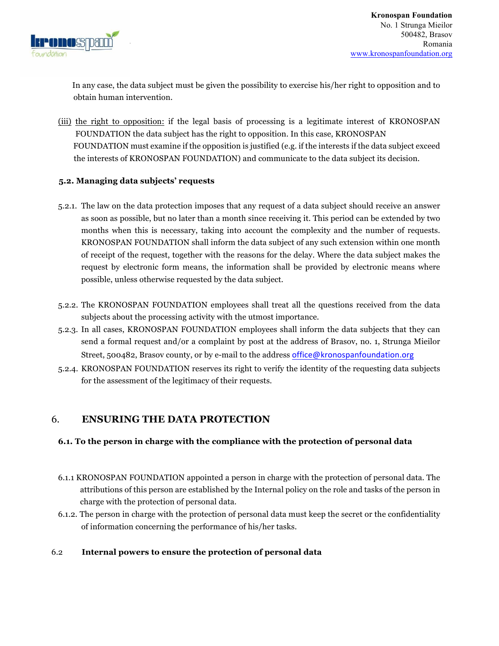

 In any case, the data subject must be given the possibility to exercise his/her right to opposition and to obtain human intervention.

(iii) the right to opposition: if the legal basis of processing is a legitimate interest of KRONOSPAN FOUNDATION the data subject has the right to opposition. In this case, KRONOSPAN FOUNDATION must examine if the opposition is justified (e.g. if the interests if the data subject exceed the interests of KRONOSPAN FOUNDATION) and communicate to the data subject its decision.

#### **5.2. Managing data subjects' requests**

- 5.2.1. The law on the data protection imposes that any request of a data subject should receive an answer as soon as possible, but no later than a month since receiving it. This period can be extended by two months when this is necessary, taking into account the complexity and the number of requests. KRONOSPAN FOUNDATION shall inform the data subject of any such extension within one month of receipt of the request, together with the reasons for the delay. Where the data subject makes the request by electronic form means, the information shall be provided by electronic means where possible, unless otherwise requested by the data subject.
- 5.2.2. The KRONOSPAN FOUNDATION employees shall treat all the questions received from the data subjects about the processing activity with the utmost importance.
- 5.2.3. In all cases, KRONOSPAN FOUNDATION employees shall inform the data subjects that they can send a formal request and/or a complaint by post at the address of Brasov, no. 1, Strunga Mieilor Street, 500482, Brasov county, or by e-mail to the address office@kronospanfoundation.org
- 5.2.4. KRONOSPAN FOUNDATION reserves its right to verify the identity of the requesting data subjects for the assessment of the legitimacy of their requests.

# 6. **ENSURING THE DATA PROTECTION**

## **6.1. To the person in charge with the compliance with the protection of personal data**

- 6.1.1 KRONOSPAN FOUNDATION appointed a person in charge with the protection of personal data. The attributions of this person are established by the Internal policy on the role and tasks of the person in charge with the protection of personal data.
- 6.1.2. The person in charge with the protection of personal data must keep the secret or the confidentiality of information concerning the performance of his/her tasks.

## 6.2 **Internal powers to ensure the protection of personal data**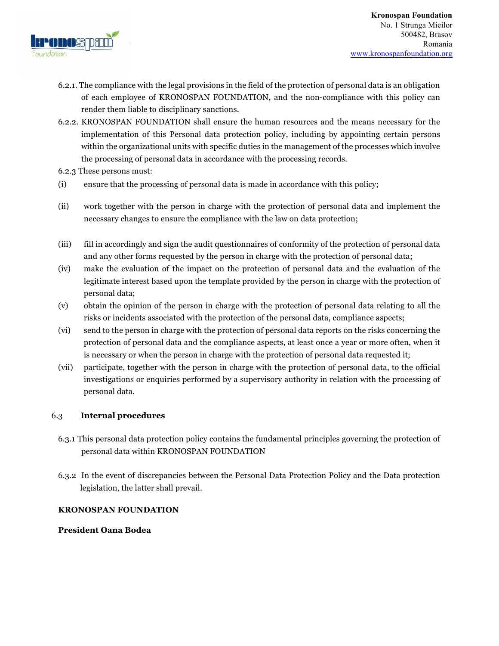

- 6.2.1. The compliance with the legal provisions in the field of the protection of personal data is an obligation of each employee of KRONOSPAN FOUNDATION, and the non-compliance with this policy can render them liable to disciplinary sanctions.
- 6.2.2. KRONOSPAN FOUNDATION shall ensure the human resources and the means necessary for the implementation of this Personal data protection policy, including by appointing certain persons within the organizational units with specific duties in the management of the processes which involve the processing of personal data in accordance with the processing records.
- 6.2.3 These persons must:
- (i) ensure that the processing of personal data is made in accordance with this policy;
- (ii) work together with the person in charge with the protection of personal data and implement the necessary changes to ensure the compliance with the law on data protection;
- (iii) fill in accordingly and sign the audit questionnaires of conformity of the protection of personal data and any other forms requested by the person in charge with the protection of personal data;
- (iv) make the evaluation of the impact on the protection of personal data and the evaluation of the legitimate interest based upon the template provided by the person in charge with the protection of personal data;
- (v) obtain the opinion of the person in charge with the protection of personal data relating to all the risks or incidents associated with the protection of the personal data, compliance aspects;
- (vi) send to the person in charge with the protection of personal data reports on the risks concerning the protection of personal data and the compliance aspects, at least once a year or more often, when it is necessary or when the person in charge with the protection of personal data requested it;
- (vii) participate, together with the person in charge with the protection of personal data, to the official investigations or enquiries performed by a supervisory authority in relation with the processing of personal data.

## 6.3 **Internal procedures**

- 6.3.1 This personal data protection policy contains the fundamental principles governing the protection of personal data within KRONOSPAN FOUNDATION
- 6.3.2 In the event of discrepancies between the Personal Data Protection Policy and the Data protection legislation, the latter shall prevail.

#### **KRONOSPAN FOUNDATION**

#### **President Oana Bodea**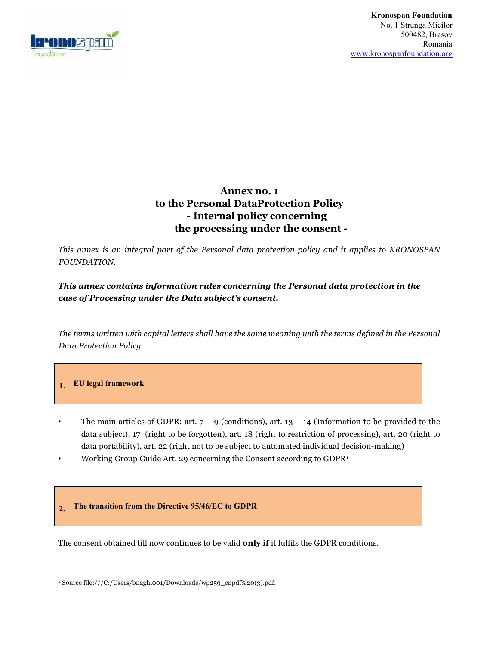

# **Annex no. 1 to the Personal DataProtection Policy - Internal policy concerning the processing under the consent -**

*This annex is an integral part of the Personal data protection policy and it applies to KRONOSPAN FOUNDATION.*

*This annex contains information rules concerning the Personal data protection in the case of Processing under the Data subject's consent.* 

*The terms written with capital letters shall have the same meaning with the terms defined in the Personal Data Protection Policy.* 

## **1. EU legal framework**

- The main articles of GDPR: art.  $7 9$  (conditions), art.  $13 14$  (Information to be provided to the data subject), 17 (right to be forgotten), art. 18 (right to restriction of processing), art. 20 (right to data portability), art. 22 (right not to be subject to automated individual decision-making) • Working Group Guide Art. 29 concerning the Consent according to GDPR1
- 

#### **2. The transition from the Directive 95/46/EC to GDPR**

The consent obtained till now continues to be valid **only if** it fulfils the GDPR conditions.

 <sup>1</sup> Source file:///C:/Users/bnaghi001/Downloads/wp259\_enpdf%20(3).pdf.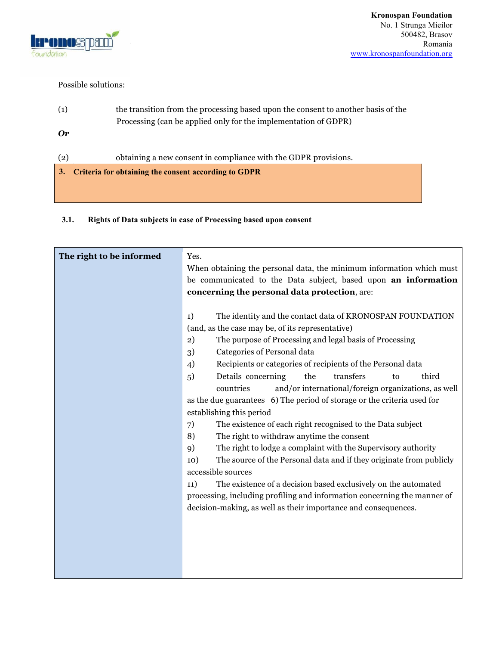

#### Possible solutions:

| (1) | the transition from the processing based upon the consent to another basis of the |
|-----|-----------------------------------------------------------------------------------|
|     | Processing (can be applied only for the implementation of GDPR)                   |
| Or  |                                                                                   |
|     |                                                                                   |
| (2) | obtaining a new consent in compliance with the GDPR provisions.                   |
|     |                                                                                   |
| 3.  | Criteria for obtaining the consent according to GDPR                              |
|     |                                                                                   |

## **3.1. Rights of Data subjects in case of Processing based upon consent**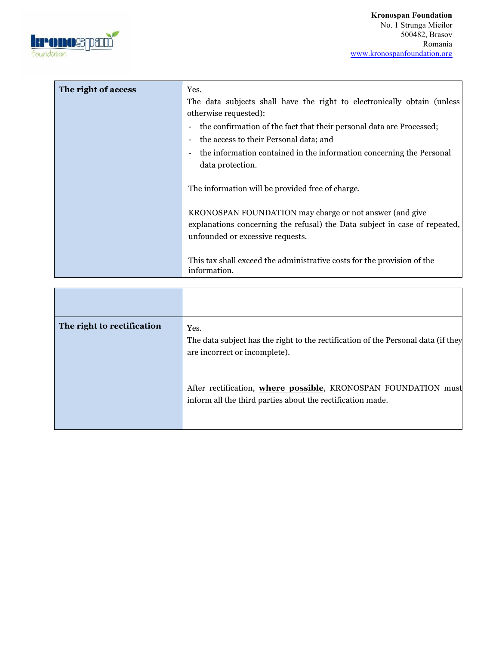

| The right of access | Yes.                                                                                                                                                                      |
|---------------------|---------------------------------------------------------------------------------------------------------------------------------------------------------------------------|
|                     | The data subjects shall have the right to electronically obtain (unless                                                                                                   |
|                     | otherwise requested):                                                                                                                                                     |
|                     | the confirmation of the fact that their personal data are Processed;                                                                                                      |
|                     | the access to their Personal data; and                                                                                                                                    |
|                     | the information contained in the information concerning the Personal                                                                                                      |
|                     | data protection.                                                                                                                                                          |
|                     | The information will be provided free of charge.                                                                                                                          |
|                     | KRONOSPAN FOUNDATION may charge or not answer (and give<br>explanations concerning the refusal) the Data subject in case of repeated,<br>unfounded or excessive requests. |
|                     | This tax shall exceed the administrative costs for the provision of the<br>information.                                                                                   |

| The right to rectification | Yes.<br>The data subject has the right to the rectification of the Personal data (if they<br>are incorrect or incomplete).   |
|----------------------------|------------------------------------------------------------------------------------------------------------------------------|
|                            | After rectification, where possible, KRONOSPAN FOUNDATION must<br>inform all the third parties about the rectification made. |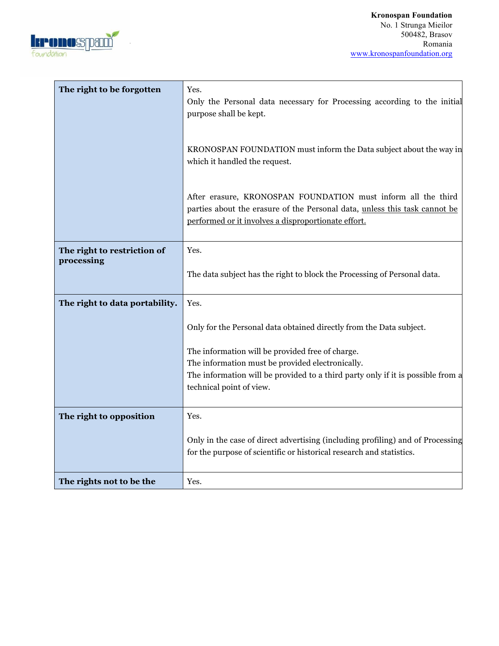

| The right to be forgotten                 | Yes.<br>Only the Personal data necessary for Processing according to the initial<br>purpose shall be kept.<br>KRONOSPAN FOUNDATION must inform the Data subject about the way in<br>which it handled the request.<br>After erasure, KRONOSPAN FOUNDATION must inform all the third<br>parties about the erasure of the Personal data, unless this task cannot be<br>performed or it involves a disproportionate effort. |
|-------------------------------------------|-------------------------------------------------------------------------------------------------------------------------------------------------------------------------------------------------------------------------------------------------------------------------------------------------------------------------------------------------------------------------------------------------------------------------|
| The right to restriction of<br>processing | Yes.<br>The data subject has the right to block the Processing of Personal data.                                                                                                                                                                                                                                                                                                                                        |
| The right to data portability.            | Yes.<br>Only for the Personal data obtained directly from the Data subject.<br>The information will be provided free of charge.<br>The information must be provided electronically.<br>The information will be provided to a third party only if it is possible from a<br>technical point of view.                                                                                                                      |
| The right to opposition                   | Yes.<br>Only in the case of direct advertising (including profiling) and of Processing<br>for the purpose of scientific or historical research and statistics.                                                                                                                                                                                                                                                          |
| The rights not to be the                  | Yes.                                                                                                                                                                                                                                                                                                                                                                                                                    |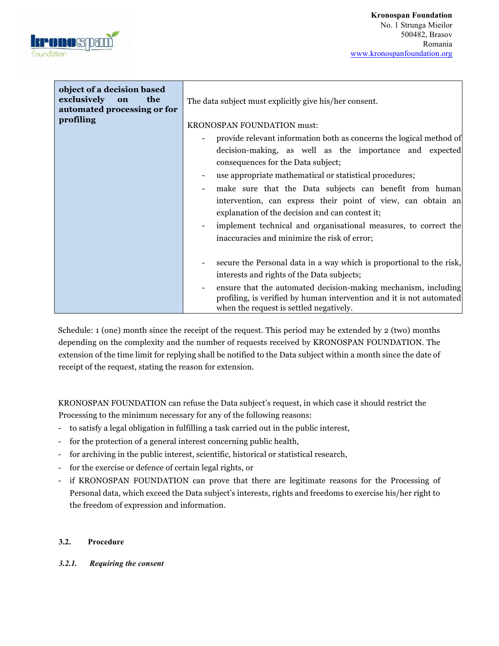

| object of a decision based<br>exclusively<br>the<br>on<br>automated processing or for | The data subject must explicitly give his/her consent.                                                                                                                            |
|---------------------------------------------------------------------------------------|-----------------------------------------------------------------------------------------------------------------------------------------------------------------------------------|
| profiling                                                                             | KRONOSPAN FOUNDATION must:                                                                                                                                                        |
|                                                                                       | provide relevant information both as concerns the logical method of                                                                                                               |
|                                                                                       | decision-making, as well as the importance and expected<br>consequences for the Data subject;                                                                                     |
|                                                                                       | use appropriate mathematical or statistical procedures;                                                                                                                           |
|                                                                                       | make sure that the Data subjects can benefit from human                                                                                                                           |
|                                                                                       | intervention, can express their point of view, can obtain an<br>explanation of the decision and can contest it;                                                                   |
|                                                                                       | implement technical and organisational measures, to correct the<br>inaccuracies and minimize the risk of error;                                                                   |
|                                                                                       | secure the Personal data in a way which is proportional to the risk,<br>interests and rights of the Data subjects;                                                                |
|                                                                                       | ensure that the automated decision-making mechanism, including<br>profiling, is verified by human intervention and it is not automated<br>when the request is settled negatively. |

Schedule: 1 (one) month since the receipt of the request. This period may be extended by 2 (two) months depending on the complexity and the number of requests received by KRONOSPAN FOUNDATION. The extension of the time limit for replying shall be notified to the Data subject within a month since the date of receipt of the request, stating the reason for extension.

KRONOSPAN FOUNDATION can refuse the Data subject's request, in which case it should restrict the Processing to the minimum necessary for any of the following reasons:

- to satisfy a legal obligation in fulfilling a task carried out in the public interest,
- for the protection of a general interest concerning public health,
- for archiving in the public interest, scientific, historical or statistical research,
- for the exercise or defence of certain legal rights, or
- if KRONOSPAN FOUNDATION can prove that there are legitimate reasons for the Processing of Personal data, which exceed the Data subject's interests, rights and freedoms to exercise his/her right to the freedom of expression and information.

## **3.2. Procedure**

#### *3.2.1. Requiring the consent*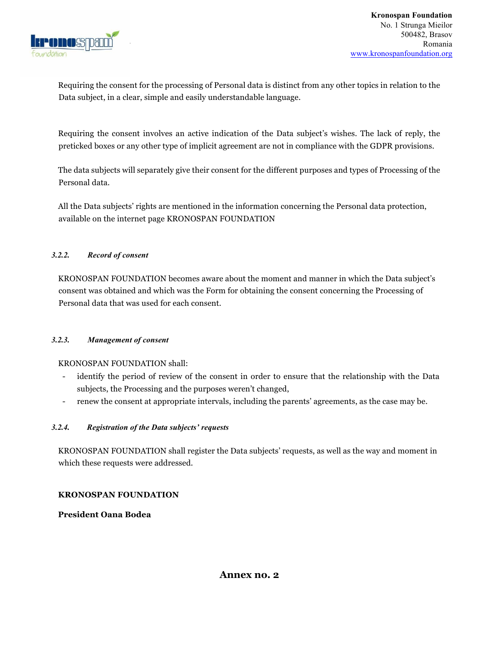

Requiring the consent for the processing of Personal data is distinct from any other topics in relation to the Data subject, in a clear, simple and easily understandable language.

Requiring the consent involves an active indication of the Data subject's wishes. The lack of reply, the preticked boxes or any other type of implicit agreement are not in compliance with the GDPR provisions.

The data subjects will separately give their consent for the different purposes and types of Processing of the Personal data.

All the Data subjects' rights are mentioned in the information concerning the Personal data protection, available on the internet page KRONOSPAN FOUNDATION

#### *3.2.2. Record of consent*

KRONOSPAN FOUNDATION becomes aware about the moment and manner in which the Data subject's consent was obtained and which was the Form for obtaining the consent concerning the Processing of Personal data that was used for each consent.

#### *3.2.3. Management of consent*

#### KRONOSPAN FOUNDATION shall:

- identify the period of review of the consent in order to ensure that the relationship with the Data subjects, the Processing and the purposes weren't changed,
- renew the consent at appropriate intervals, including the parents' agreements, as the case may be.

#### *3.2.4. Registration of the Data subjects' requests*

KRONOSPAN FOUNDATION shall register the Data subjects' requests, as well as the way and moment in which these requests were addressed.

#### **KRONOSPAN FOUNDATION**

**President Oana Bodea**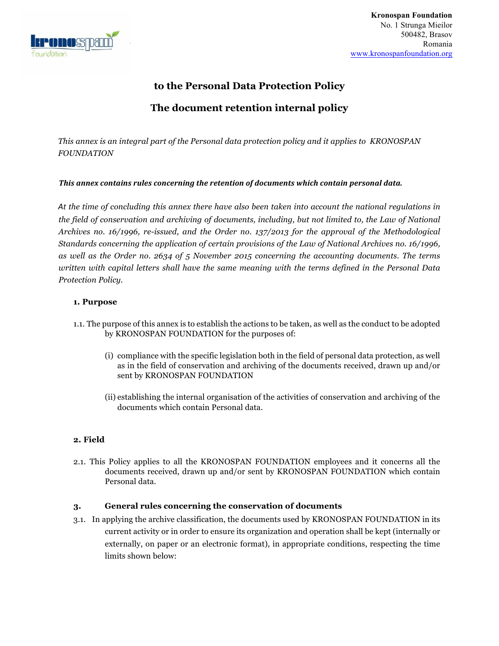

# **to the Personal Data Protection Policy**

# **The document retention internal policy**

*This annex is an integral part of the Personal data protection policy and it applies to KRONOSPAN FOUNDATION* 

#### This annex contains rules concerning the retention of documents which contain personal data.

*At the time of concluding this annex there have also been taken into account the national regulations in the field of conservation and archiving of documents, including, but not limited to, the Law of National Archives no. 16/1996, re-issued, and the Order no. 137/2013 for the approval of the Methodological Standards concerning the application of certain provisions of the Law of National Archives no. 16/1996, as well as the Order no. 2634 of 5 November 2015 concerning the accounting documents. The terms written with capital letters shall have the same meaning with the terms defined in the Personal Data Protection Policy.* 

#### **1. Purpose**

- 1.1. The purpose of this annex is to establish the actions to be taken, as well as the conduct to be adopted by KRONOSPAN FOUNDATION for the purposes of:
	- (i) compliance with the specific legislation both in the field of personal data protection, as well as in the field of conservation and archiving of the documents received, drawn up and/or sent by KRONOSPAN FOUNDATION
	- (ii) establishing the internal organisation of the activities of conservation and archiving of the documents which contain Personal data.

## **2. Field**

2.1. This Policy applies to all the KRONOSPAN FOUNDATION employees and it concerns all the documents received, drawn up and/or sent by KRONOSPAN FOUNDATION which contain Personal data.

#### **3. General rules concerning the conservation of documents**

3.1. In applying the archive classification, the documents used by KRONOSPAN FOUNDATION in its current activity or in order to ensure its organization and operation shall be kept (internally or externally, on paper or an electronic format), in appropriate conditions, respecting the time limits shown below: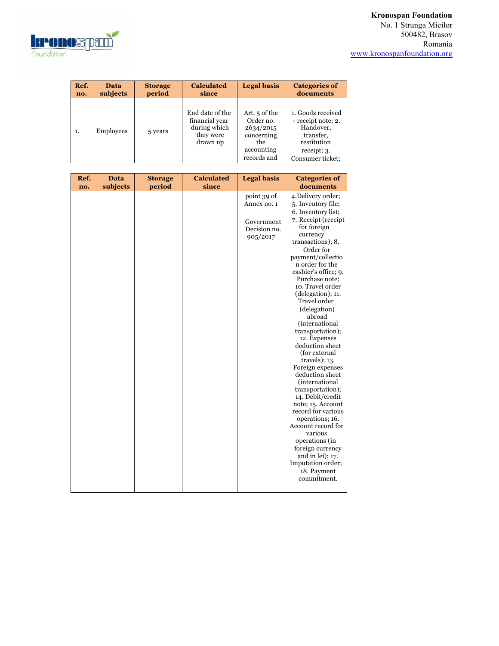# **Kronospan Foundation**

No. 1 Strunga Mieilor 500482, Brasov Romania www.kronospanfoundation.org



| Ref. | Data      | <b>Storage</b> | <b>Calculated</b>                                                          | <b>Legal basis</b>                                                                        | <b>Categories of</b>                                                                                                |
|------|-----------|----------------|----------------------------------------------------------------------------|-------------------------------------------------------------------------------------------|---------------------------------------------------------------------------------------------------------------------|
| no.  | subjects  | period         | since                                                                      |                                                                                           | documents                                                                                                           |
| 1.   | Employees | 5 years        | End date of the<br>financial year<br>during which<br>they were<br>drawn up | Art. 5 of the<br>Order no.<br>2634/2015<br>concerning<br>the<br>accounting<br>records and | 1. Goods received<br>- receipt note; 2.<br>Handover,<br>transfer,<br>restitution<br>receipt; 3.<br>Consumer ticket: |

| Ref. | <b>Data</b> | <b>Storage</b> | <b>Calculated</b> | <b>Legal basis</b> | <b>Categories of</b>                  |
|------|-------------|----------------|-------------------|--------------------|---------------------------------------|
| no.  | subjects    | period         | since             |                    | documents                             |
|      |             |                |                   | point 39 of        | 4. Delivery order;                    |
|      |             |                |                   | Annex no. 1        | 5. Inventory file;                    |
|      |             |                |                   |                    | 6. Inventory list;                    |
|      |             |                |                   | Government         | 7. Receipt (receipt                   |
|      |             |                |                   | Decision no.       | for foreign                           |
|      |             |                |                   | 905/2017           | currency                              |
|      |             |                |                   |                    | transactions); 8.<br>Order for        |
|      |             |                |                   |                    | payment/collectio                     |
|      |             |                |                   |                    | n order for the                       |
|      |             |                |                   |                    | cashier's office; 9.                  |
|      |             |                |                   |                    | Purchase note:                        |
|      |             |                |                   |                    | 10. Travel order                      |
|      |             |                |                   |                    | (delegation); 11.                     |
|      |             |                |                   |                    | Travel order                          |
|      |             |                |                   |                    | (delegation)                          |
|      |             |                |                   |                    | abroad                                |
|      |             |                |                   |                    | <i>(international)</i>                |
|      |             |                |                   |                    | transportation);                      |
|      |             |                |                   |                    | 12. Expenses<br>deduction sheet       |
|      |             |                |                   |                    | (for external                         |
|      |             |                |                   |                    | $travels$ ; 13.                       |
|      |             |                |                   |                    | Foreign expenses                      |
|      |             |                |                   |                    | deduction sheet                       |
|      |             |                |                   |                    | <i>(international)</i>                |
|      |             |                |                   |                    | transportation);                      |
|      |             |                |                   |                    | 14. Debit/credit                      |
|      |             |                |                   |                    | note; 15. Account                     |
|      |             |                |                   |                    | record for various                    |
|      |             |                |                   |                    | operations; 16.<br>Account record for |
|      |             |                |                   |                    | various                               |
|      |             |                |                   |                    | operations (in                        |
|      |             |                |                   |                    | foreign currency                      |
|      |             |                |                   |                    | and in lei); $17$ .                   |
|      |             |                |                   |                    | Imputation order;                     |
|      |             |                |                   |                    | 18. Payment                           |
|      |             |                |                   |                    | commitment.                           |
|      |             |                |                   |                    |                                       |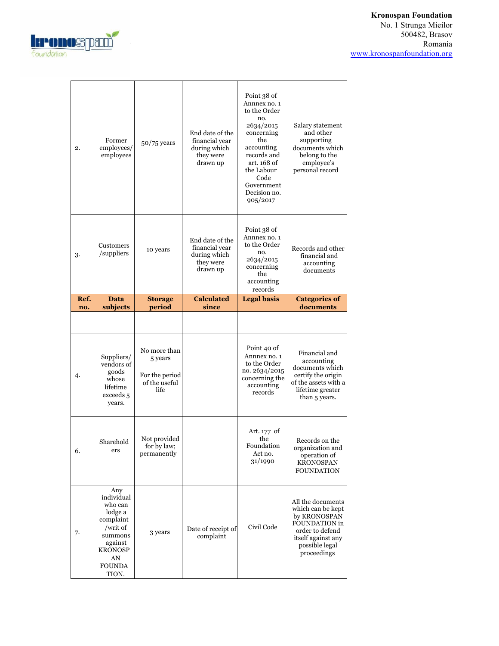

# **Kronospan Foundation**

No. 1 Strunga Mieilor 500482, Brasov Romania www.kronospanfoundation.org

| 2.          | Former<br>employees/<br>employees        | $50/75$ years                              | End date of the<br>financial year<br>during which<br>they were<br>drawn up | Point 38 of<br>Annnex no. 1<br>to the Order<br>no.<br>2634/2015<br>concerning<br>the<br>accounting<br>records and<br>art. 168 of<br>the Labour<br>Code<br>Government<br>Decision no.<br>905/2017 | Salary statement<br>and other<br>supporting<br>documents which<br>belong to the<br>employee's<br>personal record |
|-------------|------------------------------------------|--------------------------------------------|----------------------------------------------------------------------------|--------------------------------------------------------------------------------------------------------------------------------------------------------------------------------------------------|------------------------------------------------------------------------------------------------------------------|
| 3.          | Customers<br>/suppliers                  | 10 years                                   | End date of the<br>financial year<br>during which<br>they were<br>drawn up | Point 38 of<br>Annnex no. 1<br>to the Order<br>no.<br>2634/2015<br>concerning<br>the<br>accounting<br>records                                                                                    | Records and other<br>financial and<br>accounting<br>documents                                                    |
| Ref.<br>no. | Data<br>subjects                         | <b>Storage</b><br>period                   | <b>Calculated</b><br>since                                                 | <b>Legal basis</b>                                                                                                                                                                               | <b>Categories of</b><br>documents                                                                                |
|             |                                          |                                            |                                                                            |                                                                                                                                                                                                  |                                                                                                                  |
| 4.          | Suppliers/<br>vendors of<br>goods        | No more than<br>5 years                    |                                                                            | Point 40 of<br>Annnex no. 1<br>to the Order<br>no. 2634/2015                                                                                                                                     | Financial and<br>accounting<br>documents which                                                                   |
|             | whose<br>lifetime<br>exceeds 5<br>years. | For the period<br>of the useful<br>life.   |                                                                            | concerning the<br>accounting<br>records                                                                                                                                                          | certify the origin<br>of the assets with a<br>lifetime greater<br>than 5 years.                                  |
| 6.          | Sharehold<br>ers                         | Not provided<br>for by law;<br>permanently |                                                                            | Art. 177 of<br>the<br>Foundation<br>Act no.<br>31/1990                                                                                                                                           | Records on the<br>organization and<br>operation of<br><b>KRONOSPAN</b><br><b>FOUNDATION</b>                      |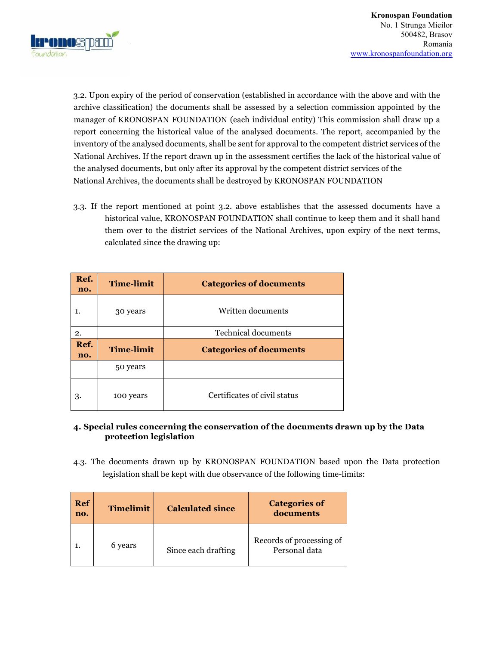

3.2. Upon expiry of the period of conservation (established in accordance with the above and with the archive classification) the documents shall be assessed by a selection commission appointed by the manager of KRONOSPAN FOUNDATION (each individual entity) This commission shall draw up a report concerning the historical value of the analysed documents. The report, accompanied by the inventory of the analysed documents, shall be sent for approval to the competent district services of the National Archives. If the report drawn up in the assessment certifies the lack of the historical value of the analysed documents, but only after its approval by the competent district services of the National Archives, the documents shall be destroyed by KRONOSPAN FOUNDATION

3.3. If the report mentioned at point 3.2. above establishes that the assessed documents have a historical value, KRONOSPAN FOUNDATION shall continue to keep them and it shall hand them over to the district services of the National Archives, upon expiry of the next terms, calculated since the drawing up:

| Ref.<br>no. | <b>Time-limit</b> | <b>Categories of documents</b> |  |
|-------------|-------------------|--------------------------------|--|
| 1.          | 30 years          | Written documents              |  |
| 2.          |                   | <b>Technical documents</b>     |  |
| Ref.        |                   |                                |  |
| no.         | <b>Time-limit</b> | <b>Categories of documents</b> |  |
|             | 50 years          |                                |  |

## **4. Special rules concerning the conservation of the documents drawn up by the Data protection legislation**

4.3. The documents drawn up by KRONOSPAN FOUNDATION based upon the Data protection legislation shall be kept with due observance of the following time-limits:

| Ref<br>no. | <b>Timelimit</b> | <b>Calculated since</b> | <b>Categories of</b><br>documents         |
|------------|------------------|-------------------------|-------------------------------------------|
|            | 6 years          | Since each drafting     | Records of processing of<br>Personal data |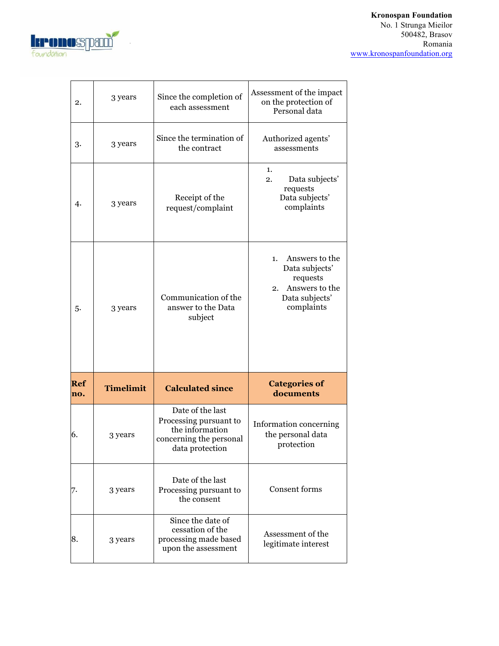# **Kronospan Foundation**

No. 1 Strunga Mieilor 500482, Brasov Romania www.kronospanfoundation.org



| 2.                | 3 years          | Since the completion of<br>each assessment                                                                  | Assessment of the impact<br>on the protection of<br>Personal data                                          |
|-------------------|------------------|-------------------------------------------------------------------------------------------------------------|------------------------------------------------------------------------------------------------------------|
| 3.                | 3 years          | Since the termination of<br>the contract                                                                    | Authorized agents'<br>assessments                                                                          |
| 4.                | 3 years          | Receipt of the<br>request/complaint                                                                         | 1.<br>Data subjects'<br>2.<br>requests<br>Data subjects'<br>complaints                                     |
| 5.                | 3 years          | Communication of the<br>answer to the Data<br>subject                                                       | Answers to the<br>1.<br>Data subjects'<br>requests<br>Answers to the<br>2.<br>Data subjects'<br>complaints |
| <b>Ref</b><br>no. | <b>Timelimit</b> | <b>Calculated since</b>                                                                                     | <b>Categories of</b><br>documents                                                                          |
| 6.                | 3 years          | Date of the last<br>Processing pursuant to<br>the information<br>concerning the personal<br>data protection | Information concerning<br>the personal data<br>protection                                                  |
| 7.                | 3 years          | Date of the last<br>Processing pursuant to<br>the consent                                                   | <b>Consent forms</b>                                                                                       |
| 8.                | 3 years          | Since the date of<br>cessation of the<br>processing made based<br>upon the assessment                       | Assessment of the<br>legitimate interest                                                                   |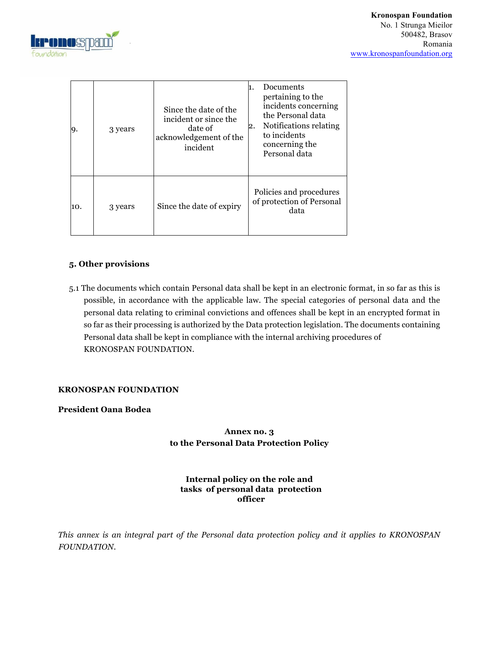

| y.  | 3 years | Since the date of the<br>incident or since the<br>date of<br>acknowledgement of the<br>incident | Documents<br>pertaining to the<br>incidents concerning<br>the Personal data<br>Notifications relating<br>2.<br>to incidents<br>concerning the<br>Personal data |
|-----|---------|-------------------------------------------------------------------------------------------------|----------------------------------------------------------------------------------------------------------------------------------------------------------------|
| 10. | 3 years | Since the date of expiry                                                                        | Policies and procedures<br>of protection of Personal<br>data                                                                                                   |

#### **5. Other provisions**

5.1 The documents which contain Personal data shall be kept in an electronic format, in so far as this is possible, in accordance with the applicable law. The special categories of personal data and the personal data relating to criminal convictions and offences shall be kept in an encrypted format in so far as their processing is authorized by the Data protection legislation. The documents containing Personal data shall be kept in compliance with the internal archiving procedures of KRONOSPAN FOUNDATION.

#### **KRONOSPAN FOUNDATION**

#### **President Oana Bodea**

## **Annex no. 3 to the Personal Data Protection Policy**

#### **Internal policy on the role and tasks of personal data protection officer**

*This annex is an integral part of the Personal data protection policy and it applies to KRONOSPAN FOUNDATION.*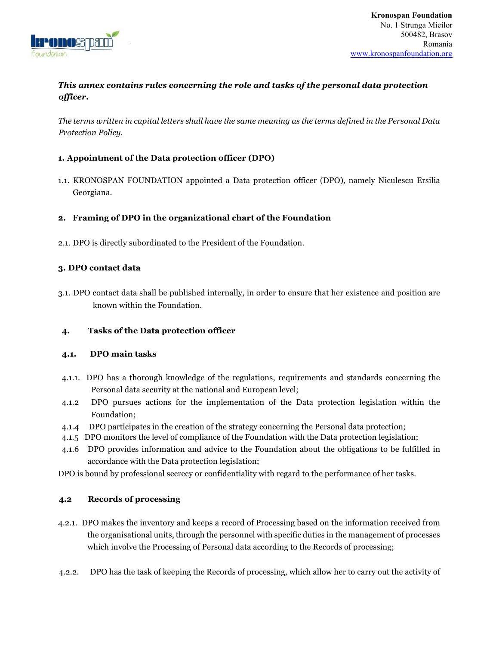

# *This annex contains rules concerning the role and tasks of the personal data protection officer.*

*The terms written in capital letters shall have the same meaning as the terms defined in the Personal Data Protection Policy.* 

#### **1. Appointment of the Data protection officer (DPO)**

1.1. KRONOSPAN FOUNDATION appointed a Data protection officer (DPO), namely Niculescu Ersilia Georgiana.

#### **2. Framing of DPO in the organizational chart of the Foundation**

2.1. DPO is directly subordinated to the President of the Foundation.

#### **3. DPO contact data**

3.1. DPO contact data shall be published internally, in order to ensure that her existence and position are known within the Foundation.

#### **4. Tasks of the Data protection officer**

#### **4.1. DPO main tasks**

- 4.1.1. DPO has a thorough knowledge of the regulations, requirements and standards concerning the Personal data security at the national and European level;
- 4.1.2 DPO pursues actions for the implementation of the Data protection legislation within the Foundation;
- 4.1.4 DPO participates in the creation of the strategy concerning the Personal data protection;
- 4.1.5 DPO monitors the level of compliance of the Foundation with the Data protection legislation;
- 4.1.6 DPO provides information and advice to the Foundation about the obligations to be fulfilled in accordance with the Data protection legislation;
- DPO is bound by professional secrecy or confidentiality with regard to the performance of her tasks.

#### **4.2 Records of processing**

- 4.2.1. DPO makes the inventory and keeps a record of Processing based on the information received from the organisational units, through the personnel with specific duties in the management of processes which involve the Processing of Personal data according to the Records of processing;
- 4.2.2. DPO has the task of keeping the Records of processing, which allow her to carry out the activity of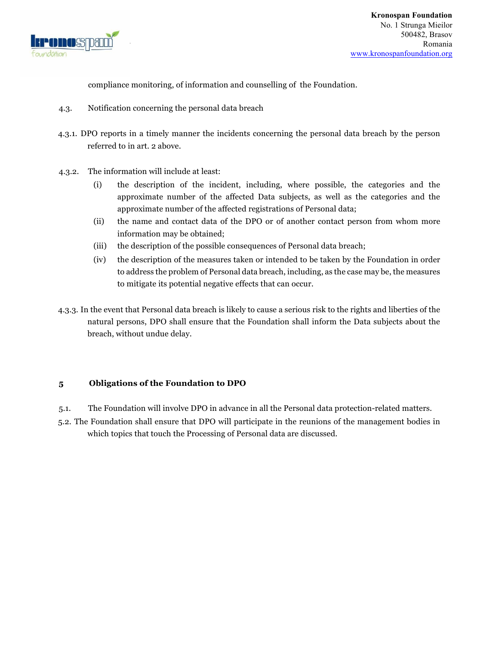

compliance monitoring, of information and counselling of the Foundation.

- 4.3. Notification concerning the personal data breach
- 4.3.1. DPO reports in a timely manner the incidents concerning the personal data breach by the person referred to in art. 2 above.
- 4.3.2. The information will include at least:
	- (i) the description of the incident, including, where possible, the categories and the approximate number of the affected Data subjects, as well as the categories and the approximate number of the affected registrations of Personal data;
	- (ii) the name and contact data of the DPO or of another contact person from whom more information may be obtained;
	- (iii) the description of the possible consequences of Personal data breach;
	- (iv) the description of the measures taken or intended to be taken by the Foundation in order to address the problem of Personal data breach, including, as the case may be, the measures to mitigate its potential negative effects that can occur.
- 4.3.3. In the event that Personal data breach is likely to cause a serious risk to the rights and liberties of the natural persons, DPO shall ensure that the Foundation shall inform the Data subjects about the breach, without undue delay.

#### **5 Obligations of the Foundation to DPO**

5.1. The Foundation will involve DPO in advance in all the Personal data protection-related matters.

5.2. The Foundation shall ensure that DPO will participate in the reunions of the management bodies in which topics that touch the Processing of Personal data are discussed.